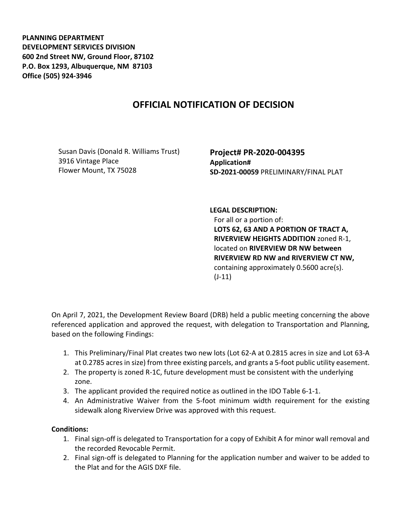**PLANNING DEPARTMENT DEVELOPMENT SERVICES DIVISION 600 2nd Street NW, Ground Floor, 87102 P.O. Box 1293, Albuquerque, NM 87103 Office (505) 924-3946** 

## **OFFICIAL NOTIFICATION OF DECISION**

Susan Davis (Donald R. Williams Trust) 3916 Vintage Place Flower Mount, TX 75028

**Project# PR-2020-004395 Application# SD-2021-00059** PRELIMINARY/FINAL PLAT

## **LEGAL DESCRIPTION:**

For all or a portion of: **LOTS 62, 63 AND A PORTION OF TRACT A, RIVERVIEW HEIGHTS ADDITION** zoned R-1, located on **RIVERVIEW DR NW between RIVERVIEW RD NW and RIVERVIEW CT NW,** containing approximately 0.5600 acre(s). (J-11)

On April 7, 2021, the Development Review Board (DRB) held a public meeting concerning the above referenced application and approved the request, with delegation to Transportation and Planning, based on the following Findings:

- 1. This Preliminary/Final Plat creates two new lots (Lot 62-A at 0.2815 acres in size and Lot 63-A at 0.2785 acres in size) from three existing parcels, and grants a 5-foot public utility easement.
- 2. The property is zoned R-1C, future development must be consistent with the underlying zone.
- 3. The applicant provided the required notice as outlined in the IDO Table 6-1-1.
- 4. An Administrative Waiver from the 5-foot minimum width requirement for the existing sidewalk along Riverview Drive was approved with this request.

## **Conditions:**

- 1. Final sign-off is delegated to Transportation for a copy of Exhibit A for minor wall removal and the recorded Revocable Permit.
- 2. Final sign-off is delegated to Planning for the application number and waiver to be added to the Plat and for the AGIS DXF file.